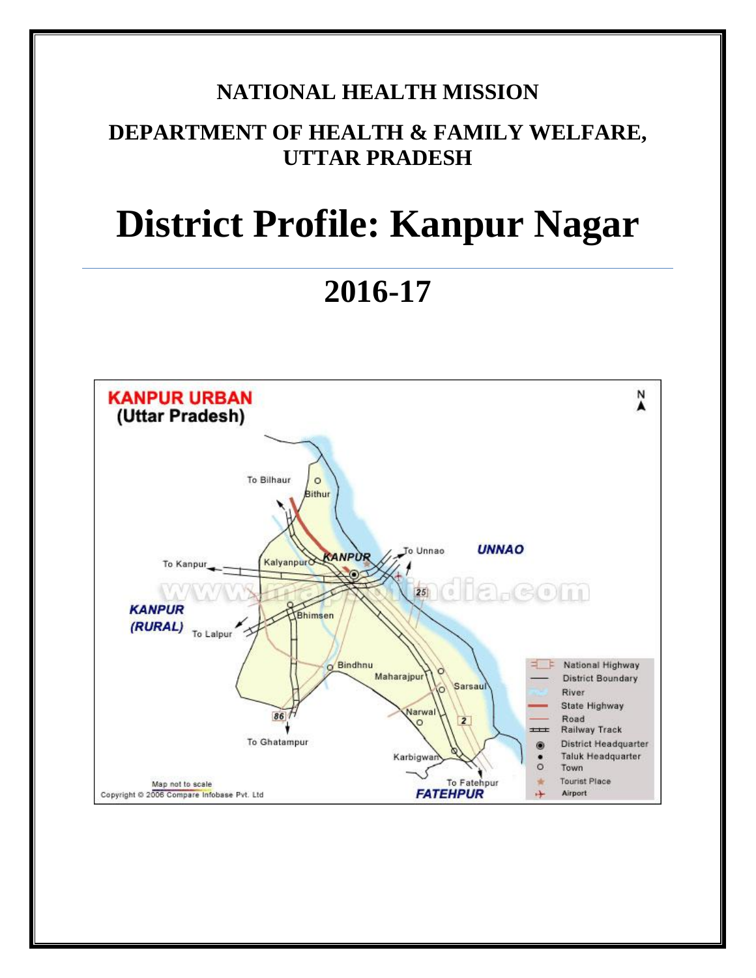# **NATIONAL HEALTH MISSION**

# **DEPARTMENT OF HEALTH & FAMILY WELFARE, UTTAR PRADESH**

# **District Profile: Kanpur Nagar**

**2016-17**

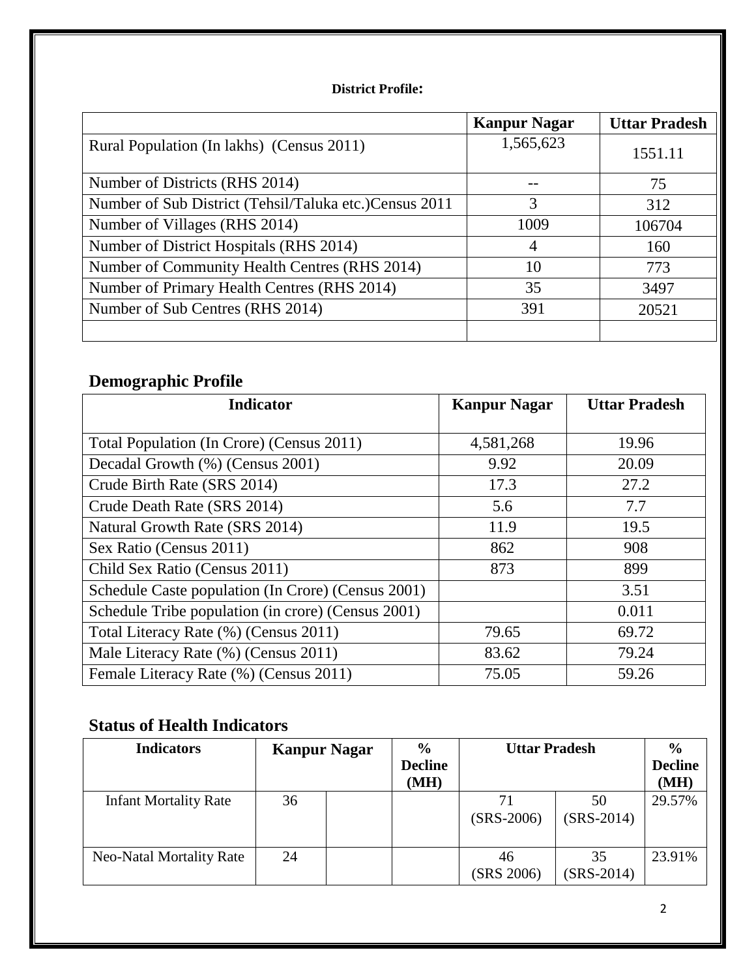## **District Profile:**

|                                                         | <b>Kanpur Nagar</b> | <b>Uttar Pradesh</b> |
|---------------------------------------------------------|---------------------|----------------------|
| Rural Population (In lakhs) (Census 2011)               | 1,565,623           | 1551.11              |
| Number of Districts (RHS 2014)                          |                     | 75                   |
| Number of Sub District (Tehsil/Taluka etc.) Census 2011 | 3                   | 312                  |
| Number of Villages (RHS 2014)                           | 1009                | 106704               |
| Number of District Hospitals (RHS 2014)                 | 4                   | 160                  |
| Number of Community Health Centres (RHS 2014)           | 10                  | 773                  |
| Number of Primary Health Centres (RHS 2014)             | 35                  | 3497                 |
| Number of Sub Centres (RHS 2014)                        | 391                 | 20521                |
|                                                         |                     |                      |

# **Demographic Profile**

| <b>Indicator</b>                                   | <b>Kanpur Nagar</b> | <b>Uttar Pradesh</b> |
|----------------------------------------------------|---------------------|----------------------|
|                                                    |                     |                      |
| Total Population (In Crore) (Census 2011)          | 4,581,268           | 19.96                |
| Decadal Growth (%) (Census 2001)                   | 9.92                | 20.09                |
| Crude Birth Rate (SRS 2014)                        | 17.3                | 27.2                 |
| Crude Death Rate (SRS 2014)                        | 5.6                 | 7.7                  |
| Natural Growth Rate (SRS 2014)                     | 11.9                | 19.5                 |
| Sex Ratio (Census 2011)                            | 862                 | 908                  |
| Child Sex Ratio (Census 2011)                      | 873                 | 899                  |
| Schedule Caste population (In Crore) (Census 2001) |                     | 3.51                 |
| Schedule Tribe population (in crore) (Census 2001) |                     | 0.011                |
| Total Literacy Rate (%) (Census 2011)              | 79.65               | 69.72                |
| Male Literacy Rate (%) (Census 2011)               | 83.62               | 79.24                |
| Female Literacy Rate (%) (Census 2011)             | 75.05               | 59.26                |

# **Status of Health Indicators**

| <b>Indicators</b>            | <b>Kanpur Nagar</b> | $\frac{0}{0}$          | <b>Uttar Pradesh</b> |                    | $\frac{6}{9}$          |
|------------------------------|---------------------|------------------------|----------------------|--------------------|------------------------|
|                              |                     | <b>Decline</b><br>(MH) |                      |                    | <b>Decline</b><br>(MH) |
| <b>Infant Mortality Rate</b> | 36                  |                        | 71<br>$(SRS-2006)$   | 50<br>$(SRS-2014)$ | 29.57%                 |
| Neo-Natal Mortality Rate     | 24                  |                        | 46<br>(SRS 2006)     | 35<br>$(SRS-2014)$ | 23.91%                 |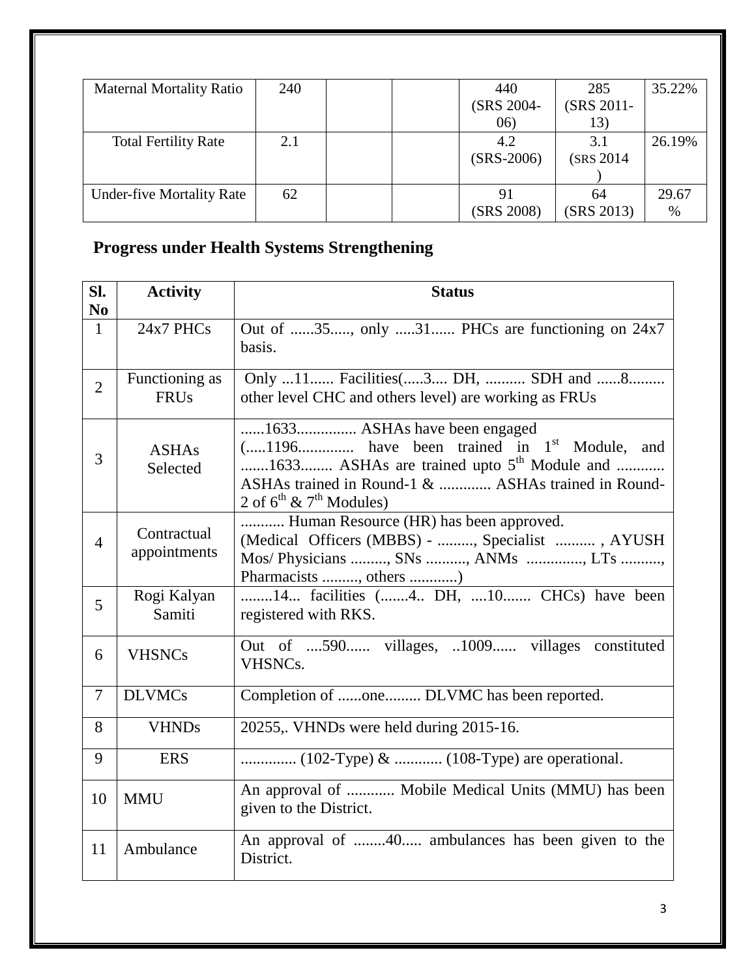| <b>Maternal Mortality Ratio</b>  | 240 | 440          | 285        | 35.22% |
|----------------------------------|-----|--------------|------------|--------|
|                                  |     | (SRS 2004-   | (SRS 2011- |        |
|                                  |     | (06)         | 13)        |        |
| <b>Total Fertility Rate</b>      | 2.1 | 4.2          | 3.1        | 26.19% |
|                                  |     | $(SRS-2006)$ | (SRS 2014) |        |
|                                  |     |              |            |        |
| <b>Under-five Mortality Rate</b> | 62  | 91           | 64         | 29.67  |
|                                  |     | (SRS 2008)   | (SRS 2013) | $\%$   |

# **Progress under Health Systems Strengthening**

| SI.<br>N <sub>0</sub> | <b>Activity</b>               | <b>Status</b>                                                                                                                                                                                                              |  |  |
|-----------------------|-------------------------------|----------------------------------------------------------------------------------------------------------------------------------------------------------------------------------------------------------------------------|--|--|
| $\mathbf{1}$          | 24x7 PHCs                     | Out of 35, only 31 PHCs are functioning on 24x7<br>basis.                                                                                                                                                                  |  |  |
| $\overline{2}$        | Functioning as<br><b>FRUs</b> | Only 11 Facilities(3 DH,  SDH and 8<br>other level CHC and others level) are working as FRUs                                                                                                                               |  |  |
| 3                     | <b>ASHAs</b><br>Selected      | 1633 ASHAs have been engaged<br>$(1196$ have been trained in $1st$ Module, and<br>1633 ASHAs are trained upto $5th$ Module and<br>ASHAs trained in Round-1 &  ASHAs trained in Round-<br>2 of $6^{th}$ & $7^{th}$ Modules) |  |  |
| $\overline{4}$        | Contractual<br>appointments   | Human Resource (HR) has been approved.<br>(Medical Officers (MBBS) - , Specialist , AYUSH<br>Mos/ Physicians , SNs , ANMs , LTs ,<br>Pharmacists , others )                                                                |  |  |
| 5                     | Rogi Kalyan<br>Samiti         | 14 facilities (4 DH, 10 CHCs) have been<br>registered with RKS.                                                                                                                                                            |  |  |
| 6                     | <b>VHSNCs</b>                 | Out of 590 villages, 1009 villages constituted<br>VHSNC <sub>s</sub> .                                                                                                                                                     |  |  |
| $\tau$                | <b>DLVMCs</b>                 | Completion of one DLVMC has been reported.                                                                                                                                                                                 |  |  |
| 8                     | <b>VHNDs</b>                  | 20255,. VHNDs were held during 2015-16.                                                                                                                                                                                    |  |  |
| 9                     | <b>ERS</b>                    |                                                                                                                                                                                                                            |  |  |
| 10                    | <b>MMU</b>                    | An approval of  Mobile Medical Units (MMU) has been<br>given to the District.                                                                                                                                              |  |  |
| 11                    | Ambulance                     | An approval of 40 ambulances has been given to the<br>District.                                                                                                                                                            |  |  |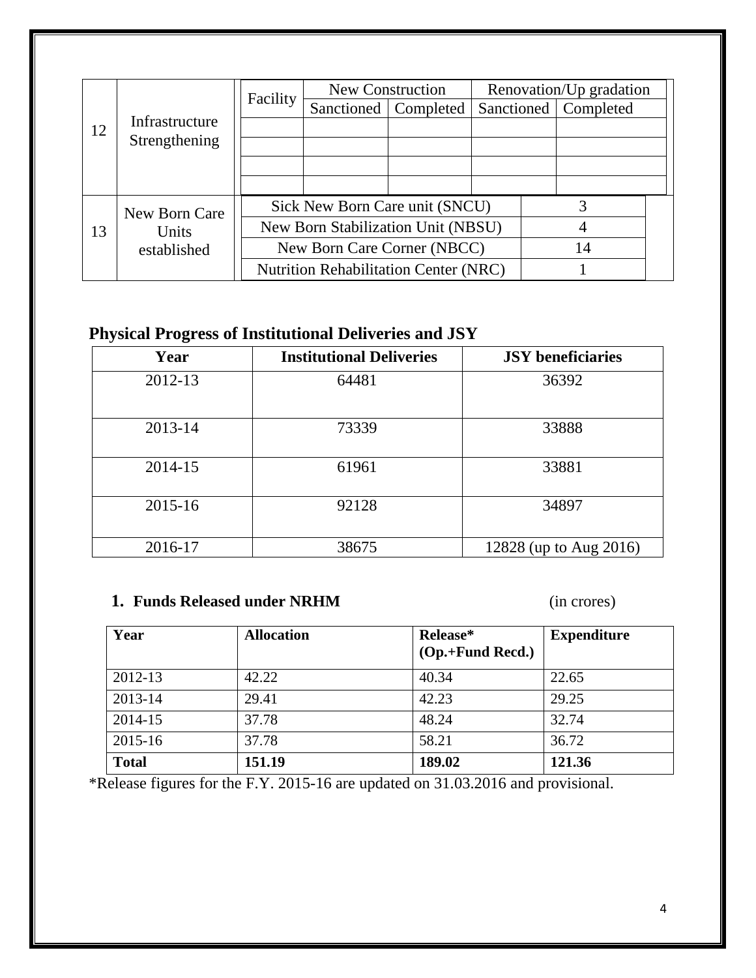|    | Facility       | Renovation/Up gradation<br>New Construction  |                                    |                        |  |                        |  |
|----|----------------|----------------------------------------------|------------------------------------|------------------------|--|------------------------|--|
|    |                |                                              |                                    | Sanctioned   Completed |  | Sanctioned   Completed |  |
| 12 | Infrastructure |                                              |                                    |                        |  |                        |  |
|    | Strengthening  |                                              |                                    |                        |  |                        |  |
|    |                |                                              |                                    |                        |  |                        |  |
|    |                |                                              |                                    |                        |  |                        |  |
|    | New Born Care  |                                              | Sick New Born Care unit (SNCU)     |                        |  | 3                      |  |
| 13 | Units          |                                              | New Born Stabilization Unit (NBSU) |                        |  |                        |  |
|    | established    |                                              | New Born Care Corner (NBCC)        |                        |  | 14                     |  |
|    |                | <b>Nutrition Rehabilitation Center (NRC)</b> |                                    |                        |  |                        |  |

# **Physical Progress of Institutional Deliveries and JSY**

| Year    | <b>Institutional Deliveries</b> | <b>JSY</b> beneficiaries |
|---------|---------------------------------|--------------------------|
| 2012-13 | 64481                           | 36392                    |
| 2013-14 | 73339                           | 33888                    |
| 2014-15 | 61961                           | 33881                    |
| 2015-16 | 92128                           | 34897                    |
| 2016-17 | 38675                           | 12828 (up to Aug 2016)   |

## **1. Funds Released under NRHM** (in crores)

| Year         | <b>Allocation</b> | Release*<br>$(Op.+Fund\, Reed.)$ | <b>Expenditure</b> |
|--------------|-------------------|----------------------------------|--------------------|
| 2012-13      | 42.22             | 40.34                            | 22.65              |
| 2013-14      | 29.41             | 42.23                            | 29.25              |
| 2014-15      | 37.78             | 48.24                            | 32.74              |
| 2015-16      | 37.78             | 58.21                            | 36.72              |
| <b>Total</b> | 151.19            | 189.02                           | 121.36             |

\*Release figures for the F.Y. 2015-16 are updated on 31.03.2016 and provisional.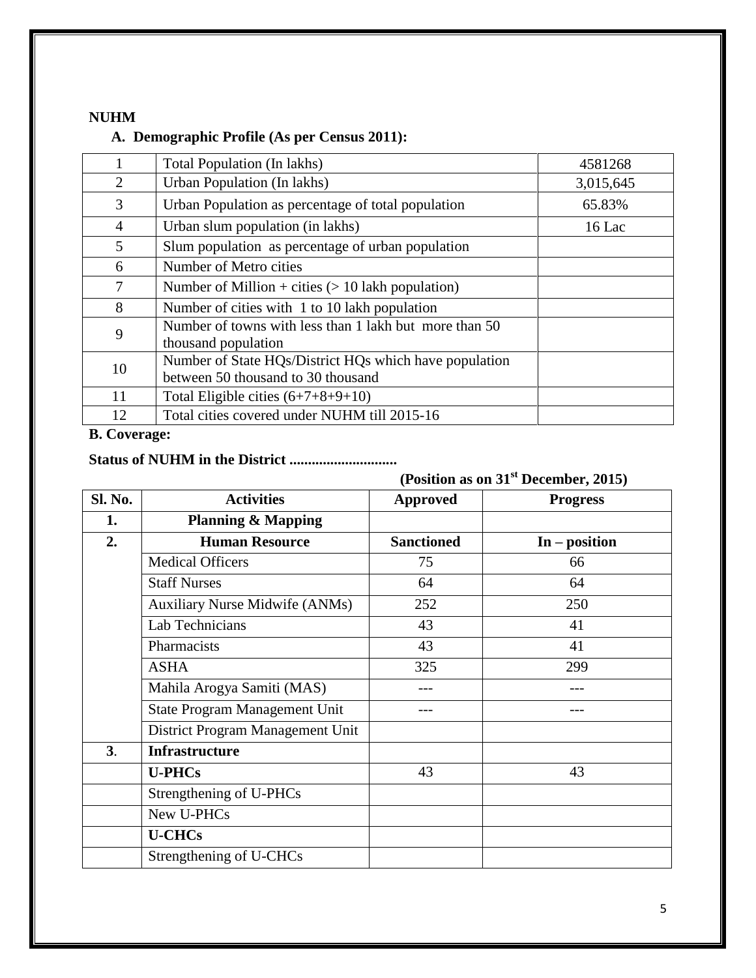#### **NUHM**

## **A. Demographic Profile (As per Census 2011):**

|                | Total Population (In lakhs)                                                                  | 4581268   |
|----------------|----------------------------------------------------------------------------------------------|-----------|
| 2              | Urban Population (In lakhs)                                                                  | 3,015,645 |
| 3              | Urban Population as percentage of total population                                           | 65.83%    |
| $\overline{4}$ | Urban slum population (in lakhs)                                                             | $16$ Lac  |
| 5              | Slum population as percentage of urban population                                            |           |
| 6              | Number of Metro cities                                                                       |           |
| 7              | Number of Million + cities $(> 10$ lakh population)                                          |           |
| 8              | Number of cities with 1 to 10 lakh population                                                |           |
| 9              | Number of towns with less than 1 lakh but more than 50<br>thousand population                |           |
| 10             | Number of State HQs/District HQs which have population<br>between 50 thousand to 30 thousand |           |
| 11             | Total Eligible cities $(6+7+8+9+10)$                                                         |           |
| 12             | Total cities covered under NUHM till 2015-16                                                 |           |

## **B. Coverage:**

## **Status of NUHM in the District .............................**

**(Position as on 31st December, 2015)**

| Sl. No. | <b>Activities</b>                     | <b>Approved</b>   | <b>Progress</b> |
|---------|---------------------------------------|-------------------|-----------------|
| 1.      |                                       |                   |                 |
|         | <b>Planning &amp; Mapping</b>         |                   |                 |
| 2.      | <b>Human Resource</b>                 | <b>Sanctioned</b> | $In - position$ |
|         | <b>Medical Officers</b>               | 75                | 66              |
|         | <b>Staff Nurses</b>                   | 64                | 64              |
|         | <b>Auxiliary Nurse Midwife (ANMs)</b> | 252               | 250             |
|         | Lab Technicians                       | 43                | 41              |
|         | Pharmacists                           | 43                | 41              |
|         | <b>ASHA</b>                           | 325               | 299             |
|         | Mahila Arogya Samiti (MAS)            |                   |                 |
|         | <b>State Program Management Unit</b>  |                   |                 |
|         | District Program Management Unit      |                   |                 |
| 3.      | <b>Infrastructure</b>                 |                   |                 |
|         | <b>U-PHCs</b>                         | 43                | 43              |
|         | Strengthening of U-PHCs               |                   |                 |
|         | New U-PHCs                            |                   |                 |
|         | <b>U-CHCs</b>                         |                   |                 |
|         | Strengthening of U-CHCs               |                   |                 |